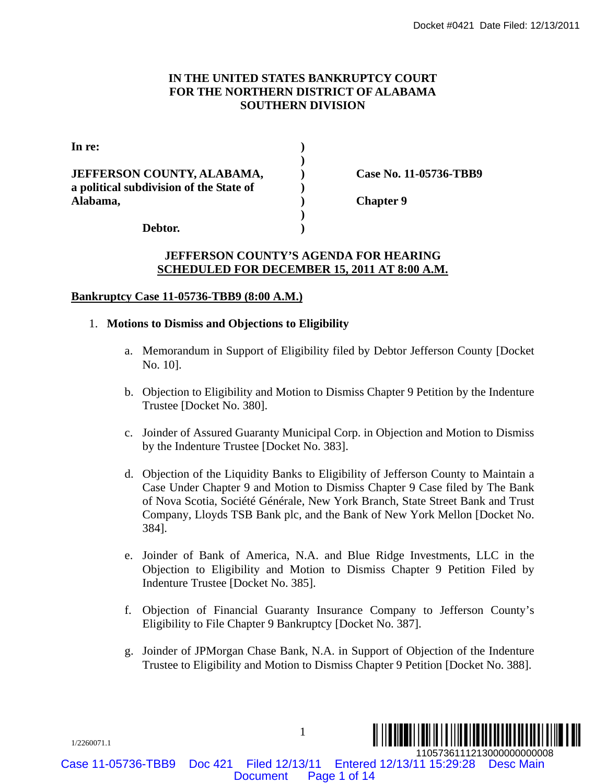## **IN THE UNITED STATES BANKRUPTCY COURT FOR THE NORTHERN DISTRICT OF ALABAMA SOUTHERN DIVISION**

|                                                                                   |                                                                                                                                             | Docket #0421 Date Filed: 12/13/2011                                                                                                                                                                                                                                                                                                         |  |
|-----------------------------------------------------------------------------------|---------------------------------------------------------------------------------------------------------------------------------------------|---------------------------------------------------------------------------------------------------------------------------------------------------------------------------------------------------------------------------------------------------------------------------------------------------------------------------------------------|--|
|                                                                                   |                                                                                                                                             | IN THE UNITED STATES BANKRUPTCY COURT<br>FOR THE NORTHERN DISTRICT OF ALABAMA<br><b>SOUTHERN DIVISION</b>                                                                                                                                                                                                                                   |  |
| In re:                                                                            |                                                                                                                                             |                                                                                                                                                                                                                                                                                                                                             |  |
| JEFFERSON COUNTY, ALABAMA,<br>a political subdivision of the State of<br>Alabama, |                                                                                                                                             | Case No. 11-05736-TBB9<br><b>Chapter 9</b>                                                                                                                                                                                                                                                                                                  |  |
|                                                                                   |                                                                                                                                             | Debtor.                                                                                                                                                                                                                                                                                                                                     |  |
|                                                                                   |                                                                                                                                             | <b>JEFFERSON COUNTY'S AGENDA FOR HEARING</b><br><b>SCHEDULED FOR DECEMBER 15, 2011 AT 8:00 A.M.</b>                                                                                                                                                                                                                                         |  |
| 1.                                                                                |                                                                                                                                             | <b>Bankruptcy Case 11-05736-TBB9 (8:00 A.M.)</b><br><b>Motions to Dismiss and Objections to Eligibility</b>                                                                                                                                                                                                                                 |  |
|                                                                                   | a.                                                                                                                                          | Memorandum in Support of Eligibility filed by Debtor Jefferson County [Docket]<br>No. 10].                                                                                                                                                                                                                                                  |  |
|                                                                                   | Objection to Eligibility and Motion to Dismiss Chapter 9 Petition by the Indenture<br>b.<br>Trustee [Docket No. 380].                       |                                                                                                                                                                                                                                                                                                                                             |  |
|                                                                                   | Joinder of Assured Guaranty Municipal Corp. in Objection and Motion to Dismiss<br>c.<br>by the Indenture Trustee [Docket No. 383].          |                                                                                                                                                                                                                                                                                                                                             |  |
|                                                                                   |                                                                                                                                             | d. Objection of the Liquidity Banks to Eligibility of Jefferson County to Maintain a<br>Case Under Chapter 9 and Motion to Dismiss Chapter 9 Case filed by The Bank<br>of Nova Scotia, Société Générale, New York Branch, State Street Bank and Trust<br>Company, Lloyds TSB Bank plc, and the Bank of New York Mellon [Docket No.<br>384]. |  |
|                                                                                   | e.                                                                                                                                          | Joinder of Bank of America, N.A. and Blue Ridge Investments, LLC in the<br>Objection to Eligibility and Motion to Dismiss Chapter 9 Petition Filed by<br>Indenture Trustee [Docket No. 385].                                                                                                                                                |  |
|                                                                                   | f.<br>Objection of Financial Guaranty Insurance Company to Jefferson County's<br>Eligibility to File Chapter 9 Bankruptcy [Docket No. 387]. |                                                                                                                                                                                                                                                                                                                                             |  |
|                                                                                   | g.                                                                                                                                          | Joinder of JPM organ Chase Bank, N.A. in Support of Objection of the Indenture<br>Trustee to Eligibility and Motion to Dismiss Chapter 9 Petition [Docket No. 388].                                                                                                                                                                         |  |
| 1/2260071.1                                                                       |                                                                                                                                             | $\mathbf{1}$<br>1105736111213000000000008                                                                                                                                                                                                                                                                                                   |  |
| ase 11-05736-TBB9                                                                 |                                                                                                                                             | Entered 12/13/11 15:29:28<br>Filed 12/13/11<br><b>Desc Main</b><br>Doc 421<br>Page 1 of 14<br><b>Document</b>                                                                                                                                                                                                                               |  |

### **JEFFERSON COUNTY'S AGENDA FOR HEARING SCHEDULED FOR DECEMBER 15, 2011 AT 8:00 A.M.**

## **Bankruptcy Case 11-05736-TBB9 (8:00 A.M.)**

### 1. **Motions to Dismiss and Objections to Eligibility**

- a. Memorandum in Support of Eligibility filed by Debtor Jefferson County [Docket No. 10].
- b. Objection to Eligibility and Motion to Dismiss Chapter 9 Petition by the Indenture Trustee [Docket No. 380].
- c. Joinder of Assured Guaranty Municipal Corp. in Objection and Motion to Dismiss by the Indenture Trustee [Docket No. 383].
- d. Objection of the Liquidity Banks to Eligibility of Jefferson County to Maintain a Case Under Chapter 9 and Motion to Dismiss Chapter 9 Case filed by The Bank of Nova Scotia, Société Générale, New York Branch, State Street Bank and Trust Company, Lloyds TSB Bank plc, and the Bank of New York Mellon [Docket No. 384].
- e. Joinder of Bank of America, N.A. and Blue Ridge Investments, LLC in the Objection to Eligibility and Motion to Dismiss Chapter 9 Petition Filed by Indenture Trustee [Docket No. 385].
- f. Objection of Financial Guaranty Insurance Company to Jefferson County's Eligibility to File Chapter 9 Bankruptcy [Docket No. 387].
- g. Joinder of JPMorgan Chase Bank, N.A. in Support of Objection of the Indenture Trustee to Eligibility and Motion to Dismiss Chapter 9 Petition [Docket No. 388].

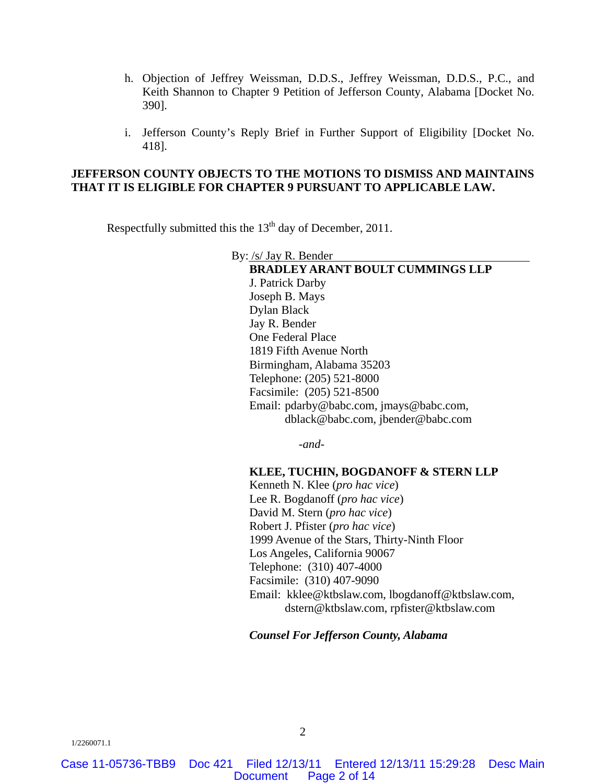- h. Objection of Jeffrey Weissman, D.D.S., Jeffrey Weissman, D.D.S., P.C., and Keith Shannon to Chapter 9 Petition of Jefferson County, Alabama [Docket No. 390].
- i. Jefferson County's Reply Brief in Further Support of Eligibility [Docket No. 418].

### **JEFFERSON COUNTY OBJECTS TO THE MOTIONS TO DISMISS AND MAINTAINS THAT IT IS ELIGIBLE FOR CHAPTER 9 PURSUANT TO APPLICABLE LAW.**

Respectfully submitted this the 13<sup>th</sup> day of December, 2011.

By: /s/ Jay R. Bender **BRADLEY ARANT BOULT CUMMINGS LLP**  J. Patrick Darby Joseph B. Mays Dylan Black Jay R. Bender One Federal Place 1819 Fifth Avenue North Birmingham, Alabama 35203 Telephone: (205) 521-8000 Facsimile: (205) 521-8500 Email: pdarby@babc.com, jmays@babc.com, dblack@babc.com, jbender@babc.com

-*and*-

#### **KLEE, TUCHIN, BOGDANOFF & STERN LLP**

Kenneth N. Klee (*pro hac vice*) Lee R. Bogdanoff (*pro hac vice*) David M. Stern (*pro hac vice*) Robert J. Pfister (*pro hac vice*) 1999 Avenue of the Stars, Thirty-Ninth Floor Los Angeles, California 90067 Telephone: (310) 407-4000 Facsimile: (310) 407-9090 Email: kklee@ktbslaw.com, lbogdanoff@ktbslaw.com, dstern@ktbslaw.com, rpfister@ktbslaw.com

*Counsel For Jefferson County, Alabama*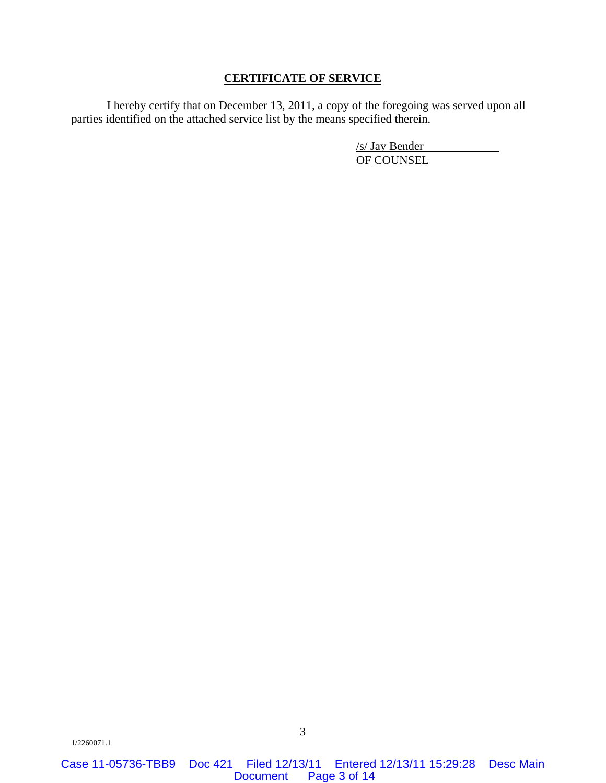### **CERTIFICATE OF SERVICE**

I hereby certify that on December 13, 2011, a copy of the foregoing was served upon all parties identified on the attached service list by the means specified therein.

> /s/ Jay Bender OF COUNSEL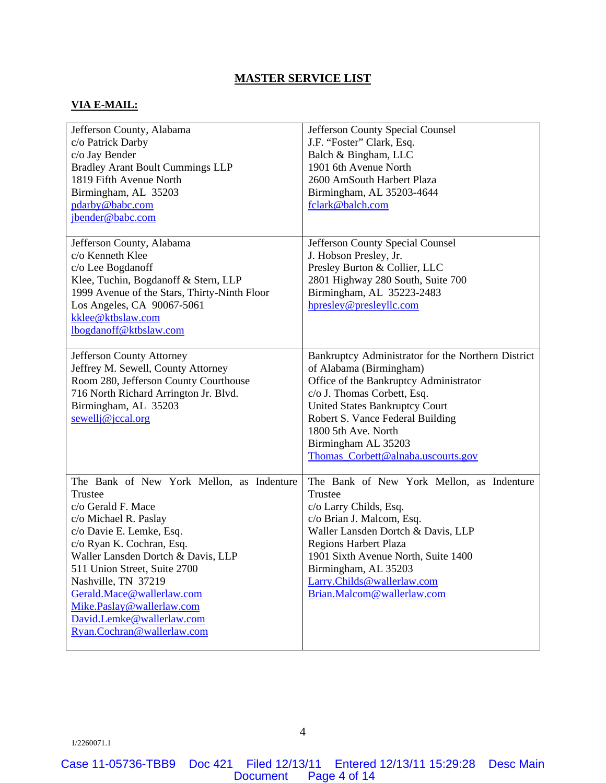## **MASTER SERVICE LIST**

### **VIA E-MAIL:**

| Jefferson County, Alabama<br>c/o Patrick Darby<br>c/o Jay Bender<br><b>Bradley Arant Boult Cummings LLP</b><br>1819 Fifth Avenue North<br>Birmingham, AL 35203<br>pdarby@babc.com<br>jbender@babc.com                                                                                                                                                                          | Jefferson County Special Counsel<br>J.F. "Foster" Clark, Esq.<br>Balch & Bingham, LLC<br>1901 6th Avenue North<br>2600 AmSouth Harbert Plaza<br>Birmingham, AL 35203-4644<br>fclark@balch.com                                                                                                                           |
|--------------------------------------------------------------------------------------------------------------------------------------------------------------------------------------------------------------------------------------------------------------------------------------------------------------------------------------------------------------------------------|-------------------------------------------------------------------------------------------------------------------------------------------------------------------------------------------------------------------------------------------------------------------------------------------------------------------------|
| Jefferson County, Alabama<br>c/o Kenneth Klee<br>c/o Lee Bogdanoff<br>Klee, Tuchin, Bogdanoff & Stern, LLP<br>1999 Avenue of the Stars, Thirty-Ninth Floor<br>Los Angeles, CA 90067-5061<br>kklee@ktbslaw.com<br>lbogdanoff@ktbslaw.com                                                                                                                                        | Jefferson County Special Counsel<br>J. Hobson Presley, Jr.<br>Presley Burton & Collier, LLC<br>2801 Highway 280 South, Suite 700<br>Birmingham, AL 35223-2483<br>hpresley@presleyllc.com                                                                                                                                |
| Jefferson County Attorney<br>Jeffrey M. Sewell, County Attorney<br>Room 280, Jefferson County Courthouse<br>716 North Richard Arrington Jr. Blvd.<br>Birmingham, AL 35203<br>$sewell$ j@jccal.org                                                                                                                                                                              | Bankruptcy Administrator for the Northern District<br>of Alabama (Birmingham)<br>Office of the Bankruptcy Administrator<br>c/o J. Thomas Corbett, Esq.<br><b>United States Bankruptcy Court</b><br>Robert S. Vance Federal Building<br>1800 5th Ave. North<br>Birmingham AL 35203<br>Thomas_Corbett@alnaba.uscourts.gov |
| The Bank of New York Mellon, as Indenture<br>Trustee<br>c/o Gerald F. Mace<br>c/o Michael R. Paslay<br>c/o Davie E. Lemke, Esq.<br>c/o Ryan K. Cochran, Esq.<br>Waller Lansden Dortch & Davis, LLP<br>511 Union Street, Suite 2700<br>Nashville, TN 37219<br>Gerald.Mace@wallerlaw.com<br>Mike.Paslay@wallerlaw.com<br>David.Lemke@wallerlaw.com<br>Ryan.Cochran@wallerlaw.com | The Bank of New York Mellon, as Indenture<br>Trustee<br>c/o Larry Childs, Esq.<br>c/o Brian J. Malcom, Esq.<br>Waller Lansden Dortch & Davis, LLP<br>Regions Harbert Plaza<br>1901 Sixth Avenue North, Suite 1400<br>Birmingham, AL 35203<br>Larry.Childs@wallerlaw.com<br>Brian.Malcom@wallerlaw.com                   |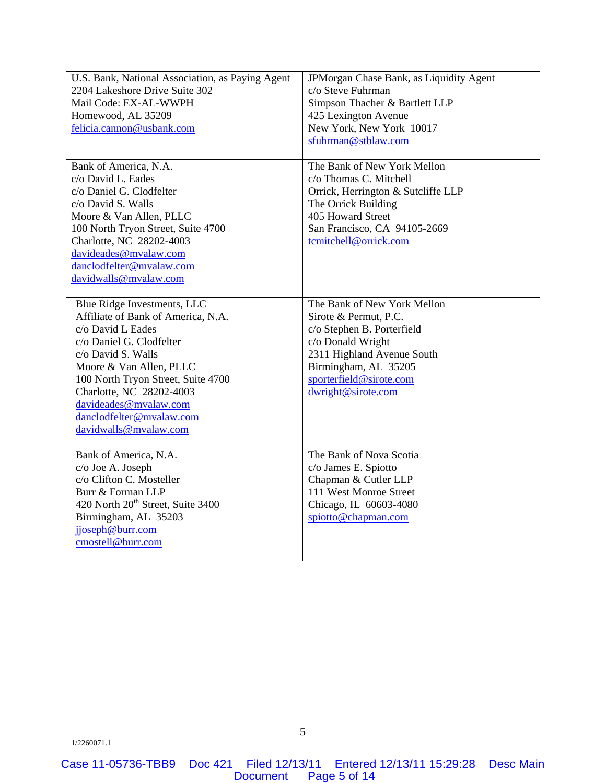| U.S. Bank, National Association, as Paying Agent | JPMorgan Chase Bank, as Liquidity Agent |
|--------------------------------------------------|-----------------------------------------|
| 2204 Lakeshore Drive Suite 302                   | c/o Steve Fuhrman                       |
| Mail Code: EX-AL-WWPH                            | Simpson Thacher & Bartlett LLP          |
| Homewood, AL 35209                               | 425 Lexington Avenue                    |
| felicia.cannon@usbank.com                        | New York, New York 10017                |
|                                                  | sfuhrman@stblaw.com                     |
|                                                  |                                         |
| Bank of America, N.A.                            | The Bank of New York Mellon             |
| c/o David L. Eades                               | c/o Thomas C. Mitchell                  |
| c/o Daniel G. Clodfelter                         | Orrick, Herrington & Sutcliffe LLP      |
| c/o David S. Walls                               | The Orrick Building                     |
| Moore & Van Allen, PLLC                          | 405 Howard Street                       |
| 100 North Tryon Street, Suite 4700               | San Francisco, CA 94105-2669            |
| Charlotte, NC 28202-4003                         | tcmitchell@orrick.com                   |
| davideades@mvalaw.com                            |                                         |
| danclodfelter@mvalaw.com                         |                                         |
| davidwalls@mvalaw.com                            |                                         |
|                                                  |                                         |
| Blue Ridge Investments, LLC                      | The Bank of New York Mellon             |
| Affiliate of Bank of America, N.A.               | Sirote & Permut, P.C.                   |
| c/o David L Eades                                | c/o Stephen B. Porterfield              |
| c/o Daniel G. Clodfelter                         | c/o Donald Wright                       |
| c/o David S. Walls                               | 2311 Highland Avenue South              |
| Moore & Van Allen, PLLC                          | Birmingham, AL 35205                    |
| 100 North Tryon Street, Suite 4700               | sporterfield@sirote.com                 |
| Charlotte, NC 28202-4003                         | dwright@sirote.com                      |
| davideades@mvalaw.com                            |                                         |
| danclodfelter@mvalaw.com                         |                                         |
| davidwalls@mvalaw.com                            |                                         |
|                                                  |                                         |
| Bank of America, N.A.                            | The Bank of Nova Scotia                 |
| c/o Joe A. Joseph                                | c/o James E. Spiotto                    |
| c/o Clifton C. Mosteller                         | Chapman & Cutler LLP                    |
| Burr & Forman LLP                                | 111 West Monroe Street                  |
| 420 North 20 <sup>th</sup> Street, Suite 3400    | Chicago, IL 60603-4080                  |
| Birmingham, AL 35203                             | spiotto@chapman.com                     |
| jjoseph@burr.com                                 |                                         |
| cmostell@burr.com                                |                                         |
|                                                  |                                         |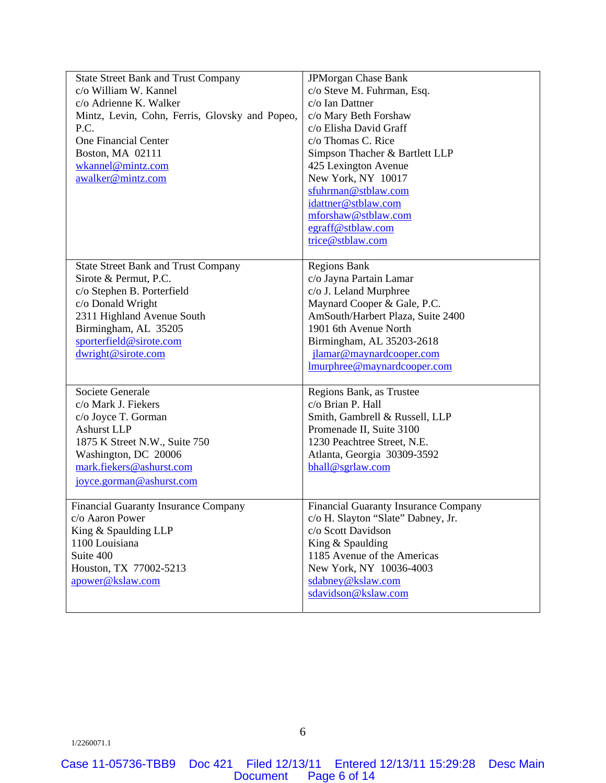| <b>State Street Bank and Trust Company</b>     | JPMorgan Chase Bank                         |
|------------------------------------------------|---------------------------------------------|
| c/o William W. Kannel                          | c/o Steve M. Fuhrman, Esq.                  |
| c/o Adrienne K. Walker                         | c/o Ian Dattner                             |
| Mintz, Levin, Cohn, Ferris, Glovsky and Popeo, | c/o Mary Beth Forshaw                       |
| P.C.                                           | c/o Elisha David Graff                      |
| <b>One Financial Center</b>                    | c/o Thomas C. Rice                          |
| Boston, MA 02111                               | Simpson Thacher & Bartlett LLP              |
| wkannel@mintz.com                              | 425 Lexington Avenue                        |
| awalker@mintz.com                              | New York, NY 10017                          |
|                                                | sfuhrman@stblaw.com                         |
|                                                | idattner@stblaw.com                         |
|                                                | mforshaw@stblaw.com                         |
|                                                | egraff@stblaw.com                           |
|                                                | trice@stblaw.com                            |
|                                                |                                             |
| <b>State Street Bank and Trust Company</b>     | <b>Regions Bank</b>                         |
| Sirote & Permut, P.C.                          | c/o Jayna Partain Lamar                     |
| c/o Stephen B. Porterfield                     | c/o J. Leland Murphree                      |
| c/o Donald Wright                              | Maynard Cooper & Gale, P.C.                 |
| 2311 Highland Avenue South                     | AmSouth/Harbert Plaza, Suite 2400           |
| Birmingham, AL 35205                           | 1901 6th Avenue North                       |
| sporterfield@sirote.com                        | Birmingham, AL 35203-2618                   |
| dwright@sirote.com                             | jlamar@maynardcooper.com                    |
|                                                | Imurphree@maynardcooper.com                 |
|                                                |                                             |
| Societe Generale                               | Regions Bank, as Trustee                    |
| c/o Mark J. Fiekers                            | c/o Brian P. Hall                           |
| c/o Joyce T. Gorman                            | Smith, Gambrell & Russell, LLP              |
| <b>Ashurst LLP</b>                             | Promenade II, Suite 3100                    |
| 1875 K Street N.W., Suite 750                  | 1230 Peachtree Street, N.E.                 |
| Washington, DC 20006                           | Atlanta, Georgia 30309-3592                 |
| mark.fiekers@ashurst.com                       | bhall@sgrlaw.com                            |
| joyce.gorman@ashurst.com                       |                                             |
|                                                |                                             |
| <b>Financial Guaranty Insurance Company</b>    | <b>Financial Guaranty Insurance Company</b> |
| c/o Aaron Power                                | c/o H. Slayton "Slate" Dabney, Jr.          |
| King & Spaulding LLP                           | c/o Scott Davidson                          |
| 1100 Louisiana                                 | King & Spaulding                            |
| Suite 400                                      | 1185 Avenue of the Americas                 |
| Houston, TX 77002-5213                         | New York, NY 10036-4003                     |
| apower@kslaw.com                               | sdabney@kslaw.com                           |
|                                                | sdavidson@kslaw.com                         |
|                                                |                                             |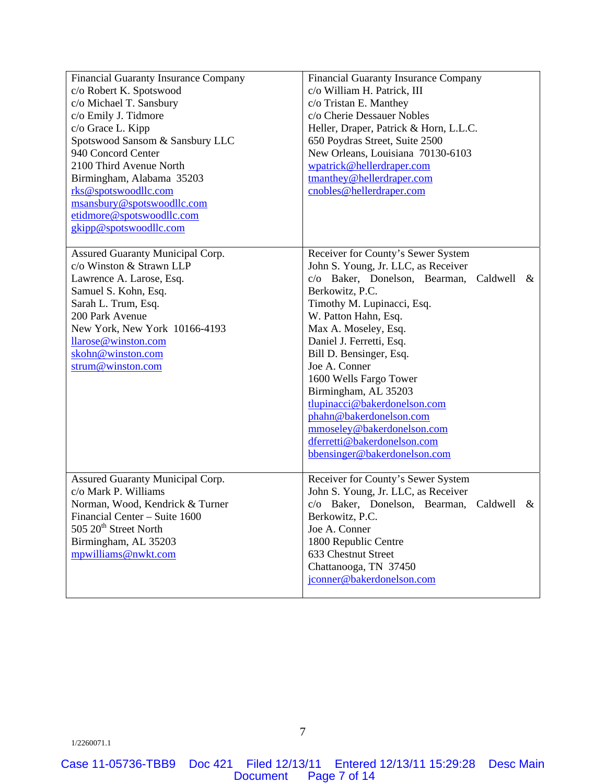| Financial Guaranty Insurance Company    | <b>Financial Guaranty Insurance Company</b>       |
|-----------------------------------------|---------------------------------------------------|
| c/o Robert K. Spotswood                 | c/o William H. Patrick, III                       |
| c/o Michael T. Sansbury                 | c/o Tristan E. Manthey                            |
| c/o Emily J. Tidmore                    | c/o Cherie Dessauer Nobles                        |
| c/o Grace L. Kipp                       | Heller, Draper, Patrick & Horn, L.L.C.            |
| Spotswood Sansom & Sansbury LLC         | 650 Poydras Street, Suite 2500                    |
| 940 Concord Center                      | New Orleans, Louisiana 70130-6103                 |
| 2100 Third Avenue North                 | wpatrick@hellerdraper.com                         |
| Birmingham, Alabama 35203               | tmanthey@hellerdraper.com                         |
| rks@spotswoodllc.com                    | cnobles@hellerdraper.com                          |
| msansbury@spotswoodllc.com              |                                                   |
| etidmore@spotswoodllc.com               |                                                   |
| gkipp@spotswoodllc.com                  |                                                   |
|                                         |                                                   |
| Assured Guaranty Municipal Corp.        | Receiver for County's Sewer System                |
| c/o Winston & Strawn LLP                | John S. Young, Jr. LLC, as Receiver               |
| Lawrence A. Larose, Esq.                | c/o Baker, Donelson, Bearman,<br>Caldwell<br>$\&$ |
| Samuel S. Kohn, Esq.                    | Berkowitz, P.C.                                   |
| Sarah L. Trum, Esq.                     | Timothy M. Lupinacci, Esq.                        |
| 200 Park Avenue                         | W. Patton Hahn, Esq.                              |
| New York, New York 10166-4193           | Max A. Moseley, Esq.                              |
| llarose@winston.com                     | Daniel J. Ferretti, Esq.                          |
| skohn@winston.com                       | Bill D. Bensinger, Esq.                           |
| strum@winston.com                       | Joe A. Conner                                     |
|                                         | 1600 Wells Fargo Tower                            |
|                                         | Birmingham, AL 35203                              |
|                                         | tlupinacci@bakerdonelson.com                      |
|                                         | phahn@bakerdonelson.com                           |
|                                         | mmoseley@bakerdonelson.com                        |
|                                         | dferretti@bakerdonelson.com                       |
|                                         | bbensinger@bakerdonelson.com                      |
|                                         |                                                   |
| <b>Assured Guaranty Municipal Corp.</b> | Receiver for County's Sewer System                |
| c/o Mark P. Williams                    | John S. Young, Jr. LLC, as Receiver               |
| Norman, Wood, Kendrick & Turner         | c/o Baker, Donelson, Bearman,<br>Caldwell<br>$\&$ |
| Financial Center – Suite 1600           | Berkowitz, P.C.                                   |
| 505 20 <sup>th</sup> Street North       | Joe A. Conner                                     |
| Birmingham, AL 35203                    | 1800 Republic Centre                              |
| mpwilliams@nwkt.com                     | 633 Chestnut Street                               |
|                                         | Chattanooga, TN 37450                             |
|                                         | jconner@bakerdonelson.com                         |
|                                         |                                                   |
|                                         |                                                   |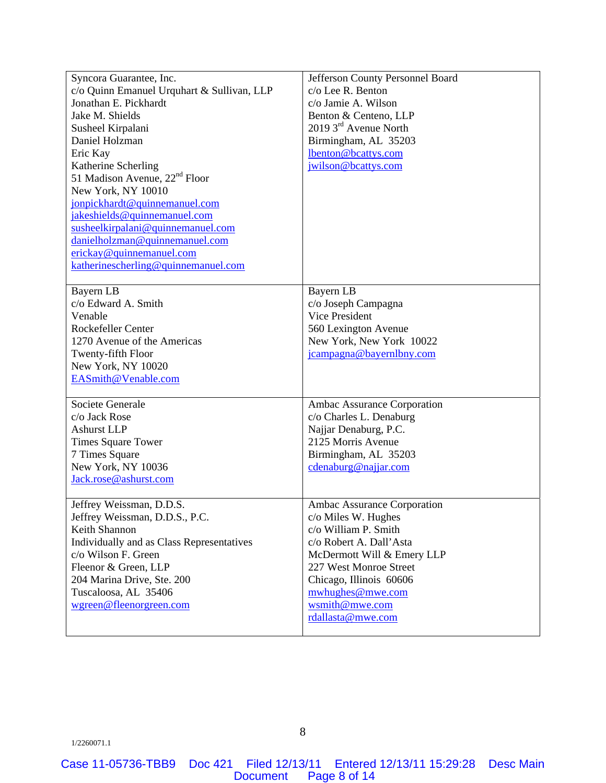| Syncora Guarantee, Inc.                    | Jefferson County Personnel Board |
|--------------------------------------------|----------------------------------|
| c/o Quinn Emanuel Urquhart & Sullivan, LLP | c/o Lee R. Benton                |
| Jonathan E. Pickhardt                      | c/o Jamie A. Wilson              |
| Jake M. Shields                            | Benton & Centeno, LLP            |
| Susheel Kirpalani                          | 2019 3rd Avenue North            |
| Daniel Holzman                             | Birmingham, AL 35203             |
| Eric Kay                                   | lbenton@bcattys.com              |
| Katherine Scherling                        | jwilson@bcattys.com              |
| 51 Madison Avenue, 22 <sup>nd</sup> Floor  |                                  |
| New York, NY 10010                         |                                  |
| jonpickhardt@quinnemanuel.com              |                                  |
| jakeshields@quinnemanuel.com               |                                  |
| susheelkirpalani@quinnemanuel.com          |                                  |
| danielholzman@quinnemanuel.com             |                                  |
| erickay@quinnemanuel.com                   |                                  |
| katherinescherling@quinnemanuel.com        |                                  |
|                                            |                                  |
| Bayern LB                                  | Bayern LB                        |
| c/o Edward A. Smith                        | c/o Joseph Campagna              |
| Venable                                    | Vice President                   |
| Rockefeller Center                         | 560 Lexington Avenue             |
| 1270 Avenue of the Americas                | New York, New York 10022         |
| Twenty-fifth Floor                         | jcampagna@bayernlbny.com         |
| New York, NY 10020                         |                                  |
| EASmith@Venable.com                        |                                  |
|                                            |                                  |
| Societe Generale                           | Ambac Assurance Corporation      |
| c/o Jack Rose                              | c/o Charles L. Denaburg          |
| <b>Ashurst LLP</b>                         | Najjar Denaburg, P.C.            |
| <b>Times Square Tower</b>                  | 2125 Morris Avenue               |
| 7 Times Square                             | Birmingham, AL 35203             |
| New York, NY 10036                         | cdenaburg@najjar.com             |
| Jack.rose@ashurst.com                      |                                  |
| Jeffrey Weissman, D.D.S.                   | Ambac Assurance Corporation      |
| Jeffrey Weissman, D.D.S., P.C.             | c/o Miles W. Hughes              |
| Keith Shannon                              | c/o William P. Smith             |
| Individually and as Class Representatives  | c/o Robert A. Dall'Asta          |
| c/o Wilson F. Green                        | McDermott Will & Emery LLP       |
| Fleenor & Green, LLP                       | 227 West Monroe Street           |
| 204 Marina Drive, Ste. 200                 | Chicago, Illinois 60606          |
| Tuscaloosa, AL 35406                       | mwhughes@mwe.com                 |
| wgreen@fleenorgreen.com                    | wsmith@mwe.com                   |
|                                            | rdallasta@mwe.com                |
|                                            |                                  |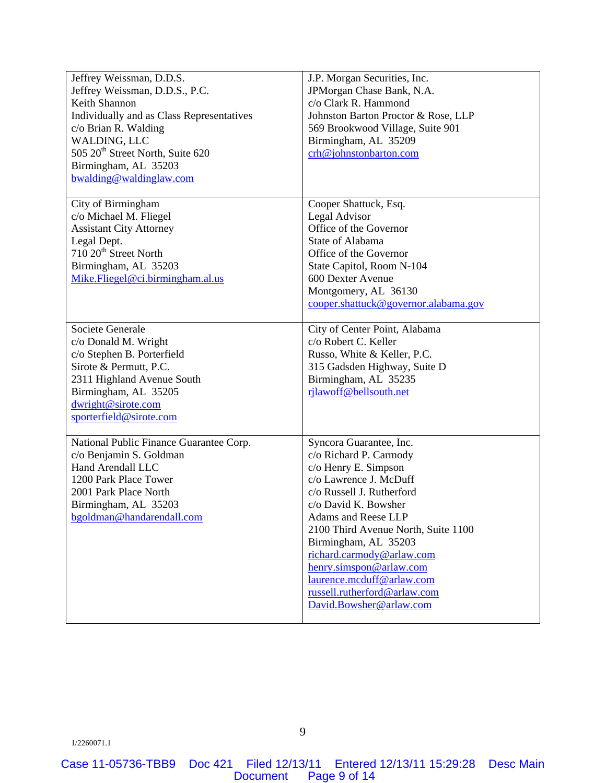| Jeffrey Weissman, D.D.S.                     | J.P. Morgan Securities, Inc.         |
|----------------------------------------------|--------------------------------------|
| Jeffrey Weissman, D.D.S., P.C.               | JPMorgan Chase Bank, N.A.            |
| Keith Shannon                                | c/o Clark R. Hammond                 |
| Individually and as Class Representatives    | Johnston Barton Proctor & Rose, LLP  |
| c/o Brian R. Walding                         | 569 Brookwood Village, Suite 901     |
| WALDING, LLC                                 | Birmingham, AL 35209                 |
| 505 20 <sup>th</sup> Street North, Suite 620 | crh@johnstonbarton.com               |
|                                              |                                      |
| Birmingham, AL 35203                         |                                      |
| bwalding@waldinglaw.com                      |                                      |
| City of Birmingham                           | Cooper Shattuck, Esq.                |
| c/o Michael M. Fliegel                       | Legal Advisor                        |
| <b>Assistant City Attorney</b>               | Office of the Governor               |
| Legal Dept.                                  | State of Alabama                     |
| 710 20 <sup>th</sup> Street North            | Office of the Governor               |
| Birmingham, AL 35203                         | State Capitol, Room N-104            |
| Mike.Fliegel@ci.birmingham.al.us             | 600 Dexter Avenue                    |
|                                              | Montgomery, AL 36130                 |
|                                              | cooper.shattuck@governor.alabama.gov |
|                                              |                                      |
| Societe Generale                             | City of Center Point, Alabama        |
| c/o Donald M. Wright                         | c/o Robert C. Keller                 |
| c/o Stephen B. Porterfield                   | Russo, White & Keller, P.C.          |
| Sirote & Permutt, P.C.                       | 315 Gadsden Highway, Suite D         |
| 2311 Highland Avenue South                   | Birmingham, AL 35235                 |
| Birmingham, AL 35205                         | rjlawoff@bellsouth.net               |
| dwright@sirote.com                           |                                      |
| sporterfield@sirote.com                      |                                      |
|                                              |                                      |
| National Public Finance Guarantee Corp.      | Syncora Guarantee, Inc.              |
| c/o Benjamin S. Goldman                      | c/o Richard P. Carmody               |
| Hand Arendall LLC                            | c/o Henry E. Simpson                 |
| 1200 Park Place Tower                        | c/o Lawrence J. McDuff               |
| 2001 Park Place North                        | c/o Russell J. Rutherford            |
| Birmingham, AL 35203                         | c/o David K. Bowsher                 |
| bgoldman@handarendall.com                    | Adams and Reese LLP                  |
|                                              | 2100 Third Avenue North, Suite 1100  |
|                                              | Birmingham, AL 35203                 |
|                                              | richard.carmody@arlaw.com            |
|                                              | henry.simspon@arlaw.com              |
|                                              | laurence.mcduff@arlaw.com            |
|                                              | russell.rutherford@arlaw.com         |
|                                              | David.Bowsher@arlaw.com              |
|                                              |                                      |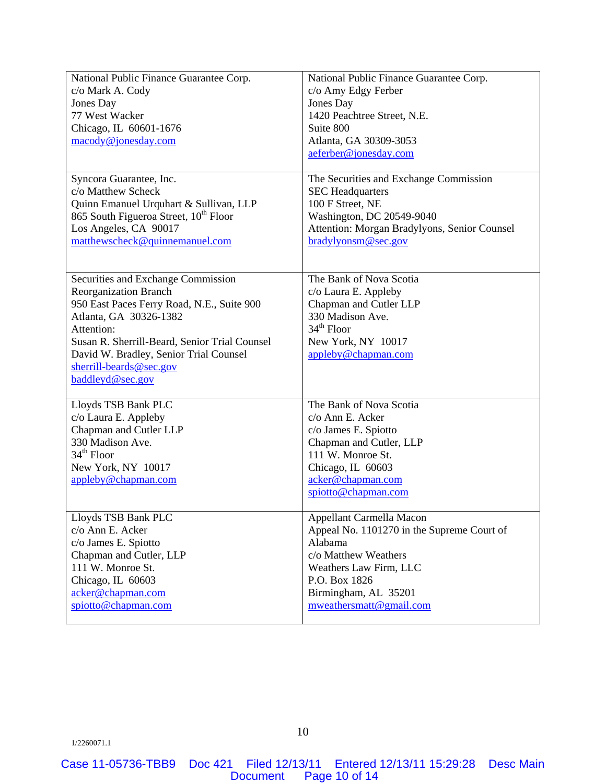| National Public Finance Guarantee Corp.                                                                                                                                                                                                                                                            | National Public Finance Guarantee Corp.                                                                                                                                              |
|----------------------------------------------------------------------------------------------------------------------------------------------------------------------------------------------------------------------------------------------------------------------------------------------------|--------------------------------------------------------------------------------------------------------------------------------------------------------------------------------------|
| c/o Mark A. Cody                                                                                                                                                                                                                                                                                   | c/o Amy Edgy Ferber                                                                                                                                                                  |
| Jones Day                                                                                                                                                                                                                                                                                          | Jones Day                                                                                                                                                                            |
| 77 West Wacker                                                                                                                                                                                                                                                                                     | 1420 Peachtree Street, N.E.                                                                                                                                                          |
| Chicago, IL 60601-1676                                                                                                                                                                                                                                                                             | Suite 800                                                                                                                                                                            |
| macody@jonesday.com                                                                                                                                                                                                                                                                                | Atlanta, GA 30309-3053<br>aeferber@jonesday.com                                                                                                                                      |
| Syncora Guarantee, Inc.                                                                                                                                                                                                                                                                            | The Securities and Exchange Commission                                                                                                                                               |
| c/o Matthew Scheck                                                                                                                                                                                                                                                                                 | <b>SEC Headquarters</b>                                                                                                                                                              |
| Quinn Emanuel Urquhart & Sullivan, LLP                                                                                                                                                                                                                                                             | 100 F Street, NE                                                                                                                                                                     |
| 865 South Figueroa Street, 10 <sup>th</sup> Floor                                                                                                                                                                                                                                                  | Washington, DC 20549-9040                                                                                                                                                            |
| Los Angeles, CA 90017                                                                                                                                                                                                                                                                              | Attention: Morgan Bradylyons, Senior Counsel                                                                                                                                         |
| matthewscheck@quinnemanuel.com                                                                                                                                                                                                                                                                     | bradylyonsm@sec.gov                                                                                                                                                                  |
| Securities and Exchange Commission<br><b>Reorganization Branch</b><br>950 East Paces Ferry Road, N.E., Suite 900<br>Atlanta, GA 30326-1382<br>Attention:<br>Susan R. Sherrill-Beard, Senior Trial Counsel<br>David W. Bradley, Senior Trial Counsel<br>sherrill-beards@sec.gov<br>baddleyd@sec.gov | The Bank of Nova Scotia<br>c/o Laura E. Appleby<br>Chapman and Cutler LLP<br>330 Madison Ave.<br>$34th$ Floor<br>New York, NY 10017<br>appleby@chapman.com                           |
| Lloyds TSB Bank PLC<br>c/o Laura E. Appleby<br>Chapman and Cutler LLP<br>330 Madison Ave.<br>$34th$ Floor<br>New York, NY 10017<br>appleby@chapman.com                                                                                                                                             | The Bank of Nova Scotia<br>c/o Ann E. Acker<br>c/o James E. Spiotto<br>Chapman and Cutler, LLP<br>111 W. Monroe St.<br>Chicago, IL 60603<br>acker@chapman.com<br>spiotto@chapman.com |
| Lloyds TSB Bank PLC                                                                                                                                                                                                                                                                                | Appellant Carmella Macon                                                                                                                                                             |
| c/o Ann E. Acker                                                                                                                                                                                                                                                                                   | Appeal No. 1101270 in the Supreme Court of                                                                                                                                           |
| c/o James E. Spiotto                                                                                                                                                                                                                                                                               | Alabama                                                                                                                                                                              |
| Chapman and Cutler, LLP                                                                                                                                                                                                                                                                            | c/o Matthew Weathers                                                                                                                                                                 |
| 111 W. Monroe St.                                                                                                                                                                                                                                                                                  | Weathers Law Firm, LLC                                                                                                                                                               |
| Chicago, IL 60603                                                                                                                                                                                                                                                                                  | P.O. Box 1826                                                                                                                                                                        |
| acker@chapman.com                                                                                                                                                                                                                                                                                  | Birmingham, AL 35201                                                                                                                                                                 |
| spiotto@chapman.com                                                                                                                                                                                                                                                                                | mweathersmatt@gmail.com                                                                                                                                                              |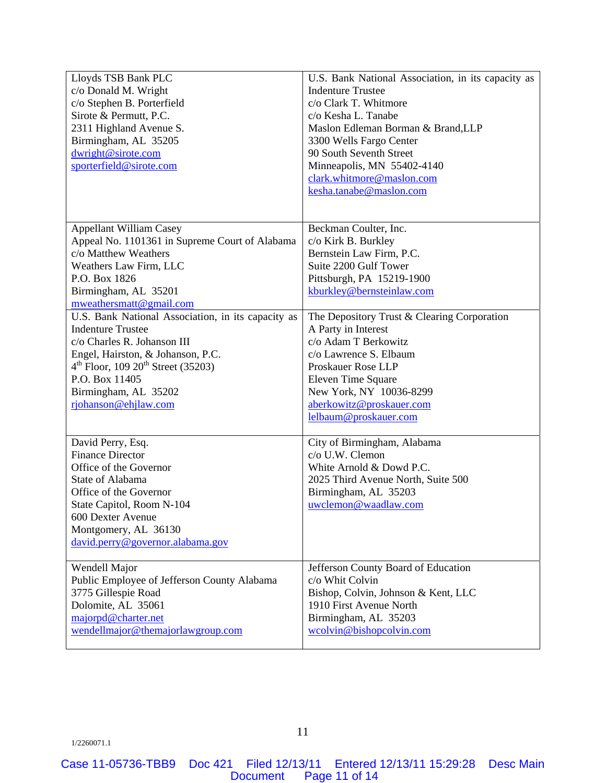| Lloyds TSB Bank PLC                                | U.S. Bank National Association, in its capacity as |
|----------------------------------------------------|----------------------------------------------------|
| c/o Donald M. Wright                               | <b>Indenture Trustee</b>                           |
| c/o Stephen B. Porterfield                         | c/o Clark T. Whitmore                              |
| Sirote & Permutt, P.C.                             | c/o Kesha L. Tanabe                                |
| 2311 Highland Avenue S.                            | Maslon Edleman Borman & Brand, LLP                 |
| Birmingham, AL 35205                               | 3300 Wells Fargo Center                            |
| dwright@sirote.com                                 | 90 South Seventh Street                            |
| sporterfield@sirote.com                            | Minneapolis, MN 55402-4140                         |
|                                                    | clark.whitmore@maslon.com                          |
|                                                    | kesha.tanabe@maslon.com                            |
|                                                    |                                                    |
|                                                    |                                                    |
| <b>Appellant William Casey</b>                     | Beckman Coulter, Inc.                              |
| Appeal No. 1101361 in Supreme Court of Alabama     | c/o Kirk B. Burkley                                |
| c/o Matthew Weathers                               | Bernstein Law Firm, P.C.                           |
| Weathers Law Firm, LLC                             | Suite 2200 Gulf Tower                              |
| P.O. Box 1826                                      | Pittsburgh, PA 15219-1900                          |
| Birmingham, AL 35201                               | kburkley@bernsteinlaw.com                          |
| mweathersmatt@gmail.com                            |                                                    |
| U.S. Bank National Association, in its capacity as | The Depository Trust & Clearing Corporation        |
| <b>Indenture Trustee</b>                           | A Party in Interest                                |
| c/o Charles R. Johanson III                        | c/o Adam T Berkowitz                               |
| Engel, Hairston, & Johanson, P.C.                  | c/o Lawrence S. Elbaum                             |
| $4^{th}$ Floor, 109 $20^{th}$ Street (35203)       | Proskauer Rose LLP                                 |
| P.O. Box 11405                                     | Eleven Time Square                                 |
| Birmingham, AL 35202                               | New York, NY 10036-8299                            |
| rjohanson@ehjlaw.com                               | aberkowitz@proskauer.com                           |
|                                                    | lelbaum@proskauer.com                              |
|                                                    |                                                    |
| David Perry, Esq.                                  | City of Birmingham, Alabama                        |
| <b>Finance Director</b>                            | c/o U.W. Clemon                                    |
| Office of the Governor                             | White Arnold & Dowd P.C.                           |
| State of Alabama                                   | 2025 Third Avenue North, Suite 500                 |
| Office of the Governor                             | Birmingham, AL 35203                               |
| State Capitol, Room N-104                          | uwclemon@waadlaw.com                               |
| 600 Dexter Avenue                                  |                                                    |
| Montgomery, AL 36130                               |                                                    |
| david.perry@governor.alabama.gov                   |                                                    |
|                                                    |                                                    |
| Wendell Major                                      | Jefferson County Board of Education                |
| Public Employee of Jefferson County Alabama        | c/o Whit Colvin                                    |
| 3775 Gillespie Road                                | Bishop, Colvin, Johnson & Kent, LLC                |
| Dolomite, AL 35061                                 | 1910 First Avenue North                            |
| majorpd@charter.net                                | Birmingham, AL 35203                               |
| wendellmajor@themajorlawgroup.com                  | wcolvin@bishopcolvin.com                           |
|                                                    |                                                    |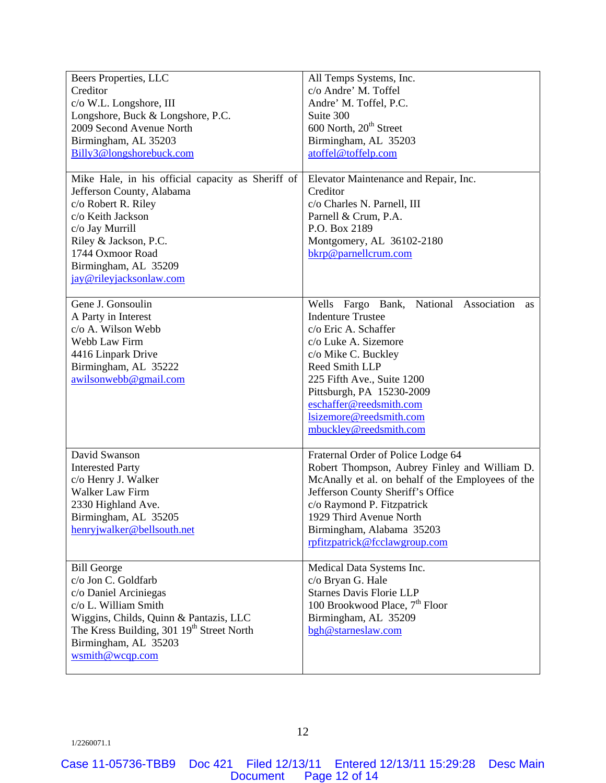| Beers Properties, LLC                                 | All Temps Systems, Inc.                           |
|-------------------------------------------------------|---------------------------------------------------|
| Creditor                                              | c/o Andre' M. Toffel                              |
| c/o W.L. Longshore, III                               | Andre' M. Toffel, P.C.                            |
| Longshore, Buck & Longshore, P.C.                     | Suite 300                                         |
| 2009 Second Avenue North                              | 600 North, 20 <sup>th</sup> Street                |
| Birmingham, AL 35203                                  | Birmingham, AL 35203                              |
| Billy3@longshorebuck.com                              | atoffel@toffelp.com                               |
|                                                       |                                                   |
| Mike Hale, in his official capacity as Sheriff of     | Elevator Maintenance and Repair, Inc.             |
| Jefferson County, Alabama                             | Creditor                                          |
| c/o Robert R. Riley                                   | c/o Charles N. Parnell, III                       |
| c/o Keith Jackson                                     | Parnell & Crum, P.A.                              |
| c/o Jay Murrill                                       | P.O. Box 2189                                     |
| Riley & Jackson, P.C.                                 | Montgomery, AL 36102-2180                         |
| 1744 Oxmoor Road                                      | bkrp@parnellcrum.com                              |
| Birmingham, AL 35209                                  |                                                   |
| jay@rileyjacksonlaw.com                               |                                                   |
|                                                       |                                                   |
| Gene J. Gonsoulin                                     | Wells Fargo Bank, National Association<br>as      |
| A Party in Interest                                   | <b>Indenture Trustee</b>                          |
| c/o A. Wilson Webb                                    | c/o Eric A. Schaffer                              |
| Webb Law Firm                                         | c/o Luke A. Sizemore                              |
| 4416 Linpark Drive                                    | c/o Mike C. Buckley                               |
| Birmingham, AL 35222                                  | Reed Smith LLP                                    |
| awilsonwebb@gmail.com                                 | 225 Fifth Ave., Suite 1200                        |
|                                                       | Pittsburgh, PA 15230-2009                         |
|                                                       | eschaffer@reedsmith.com                           |
|                                                       | lsizemore@reedsmith.com                           |
|                                                       | mbuckley@reedsmith.com                            |
|                                                       |                                                   |
| David Swanson                                         | Fraternal Order of Police Lodge 64                |
| <b>Interested Party</b>                               | Robert Thompson, Aubrey Finley and William D.     |
| c/o Henry J. Walker                                   | McAnally et al. on behalf of the Employees of the |
| Walker Law Firm                                       | Jefferson County Sheriff's Office                 |
| 2330 Highland Ave.                                    | c/o Raymond P. Fitzpatrick                        |
| Birmingham, AL 35205                                  | 1929 Third Avenue North                           |
| henryjwalker@bellsouth.net                            | Birmingham, Alabama 35203                         |
|                                                       | rpfitzpatrick@fcclawgroup.com                     |
|                                                       |                                                   |
| <b>Bill George</b>                                    | Medical Data Systems Inc.                         |
| c/o Jon C. Goldfarb                                   | c/o Bryan G. Hale                                 |
| c/o Daniel Arciniegas                                 | <b>Starnes Davis Florie LLP</b>                   |
| c/o L. William Smith                                  | 100 Brookwood Place, 7 <sup>th</sup> Floor        |
| Wiggins, Childs, Quinn & Pantazis, LLC                | Birmingham, AL 35209                              |
| The Kress Building, 301 19 <sup>th</sup> Street North | bgh@starneslaw.com                                |
| Birmingham, AL 35203                                  |                                                   |
| wsmith@wcqp.com                                       |                                                   |
|                                                       |                                                   |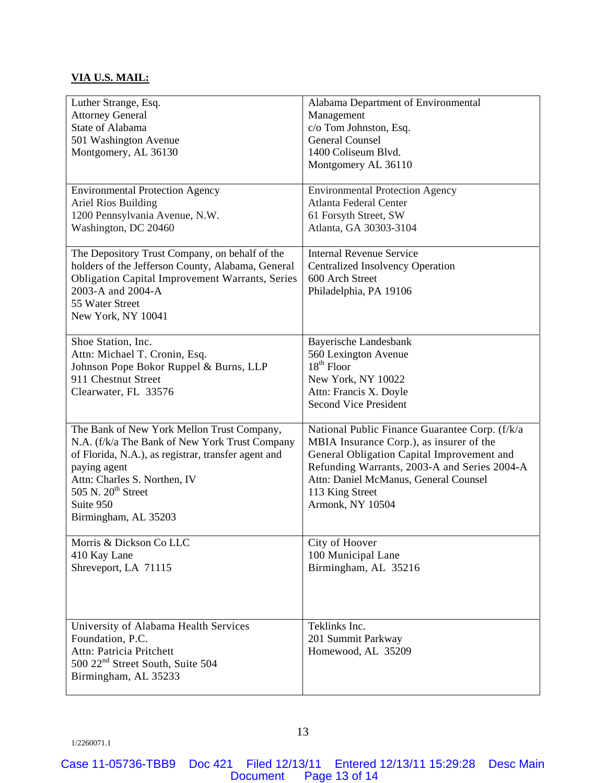# **VIA U.S. MAIL:**

| Luther Strange, Esq.                                   | Alabama Department of Environmental            |
|--------------------------------------------------------|------------------------------------------------|
| <b>Attorney General</b>                                | Management                                     |
| State of Alabama                                       | c/o Tom Johnston, Esq.                         |
| 501 Washington Avenue                                  | <b>General Counsel</b>                         |
| Montgomery, AL 36130                                   | 1400 Coliseum Blvd.                            |
|                                                        | Montgomery AL 36110                            |
|                                                        |                                                |
| <b>Environmental Protection Agency</b>                 | <b>Environmental Protection Agency</b>         |
| Ariel Rios Building                                    | Atlanta Federal Center                         |
| 1200 Pennsylvania Avenue, N.W.                         | 61 Forsyth Street, SW                          |
| Washington, DC 20460                                   | Atlanta, GA 30303-3104                         |
|                                                        |                                                |
| The Depository Trust Company, on behalf of the         | <b>Internal Revenue Service</b>                |
| holders of the Jefferson County, Alabama, General      | <b>Centralized Insolvency Operation</b>        |
| <b>Obligation Capital Improvement Warrants, Series</b> | 600 Arch Street                                |
| 2003-A and 2004-A                                      | Philadelphia, PA 19106                         |
| 55 Water Street                                        |                                                |
| New York, NY 10041                                     |                                                |
|                                                        |                                                |
| Shoe Station, Inc.                                     | Bayerische Landesbank                          |
| Attn: Michael T. Cronin, Esq.                          | 560 Lexington Avenue<br>$18th$ Floor           |
| Johnson Pope Bokor Ruppel & Burns, LLP                 |                                                |
| 911 Chestnut Street                                    | New York, NY 10022                             |
| Clearwater, FL 33576                                   | Attn: Francis X. Doyle                         |
|                                                        | <b>Second Vice President</b>                   |
| The Bank of New York Mellon Trust Company,             | National Public Finance Guarantee Corp. (f/k/a |
| N.A. (f/k/a The Bank of New York Trust Company         | MBIA Insurance Corp.), as insurer of the       |
| of Florida, N.A.), as registrar, transfer agent and    | General Obligation Capital Improvement and     |
| paying agent                                           | Refunding Warrants, 2003-A and Series 2004-A   |
| Attn: Charles S. Northen, IV                           | Attn: Daniel McManus, General Counsel          |
| 505 N. 20 <sup>th</sup> Street                         | 113 King Street                                |
| Suite 950                                              | Armonk, NY 10504                               |
|                                                        |                                                |
| Birmingham, AL 35203                                   |                                                |
| Morris & Dickson Co LLC                                | City of Hoover                                 |
| 410 Kay Lane                                           | 100 Municipal Lane                             |
| Shreveport, LA 71115                                   | Birmingham, AL 35216                           |
|                                                        |                                                |
|                                                        |                                                |
|                                                        |                                                |
|                                                        |                                                |
| University of Alabama Health Services                  | Teklinks Inc.                                  |
| Foundation, P.C.                                       | 201 Summit Parkway                             |
| Attn: Patricia Pritchett                               | Homewood, AL 35209                             |
| 500 22 <sup>nd</sup> Street South, Suite 504           |                                                |
| Birmingham, AL 35233                                   |                                                |
|                                                        |                                                |